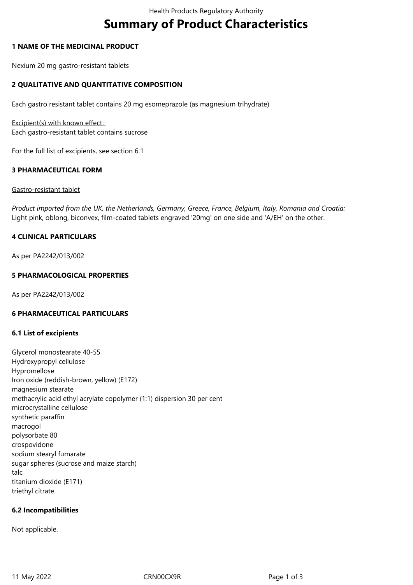# **Summary of Product Characteristics**

#### **1 NAME OF THE MEDICINAL PRODUCT**

Nexium 20 mg gastro-resistant tablets

# **2 QUALITATIVE AND QUANTITATIVE COMPOSITION**

Each gastro resistant tablet contains 20 mg esomeprazole (as magnesium trihydrate)

Excipient(s) with known effect: Each gastro-resistant tablet contains sucrose

For the full list of excipients, see section 6.1

#### **3 PHARMACEUTICAL FORM**

#### Gastro-resistant tablet

*Product imported from the UK, the Netherlands, Germany, Greece, France, Belgium, Italy, Romania and Croatia:* Light pink, oblong, biconvex, film-coated tablets engraved '20mg' on one side and 'A/EH' on the other.

# **4 CLINICAL PARTICULARS**

As per PA2242/013/002

# **5 PHARMACOLOGICAL PROPERTIES**

As per PA2242/013/002

#### **6 PHARMACEUTICAL PARTICULARS**

#### **6.1 List of excipients**

Glycerol monostearate 40-55 Hydroxypropyl cellulose Hypromellose Iron oxide (reddish-brown, yellow) (E172) magnesium stearate methacrylic acid ethyl acrylate copolymer (1:1) dispersion 30 per cent microcrystalline cellulose synthetic paraffin macrogol polysorbate 80 crospovidone sodium stearyl fumarate sugar spheres (sucrose and maize starch) talc titanium dioxide (E171) triethyl citrate.

#### **6.2 Incompatibilities**

Not applicable.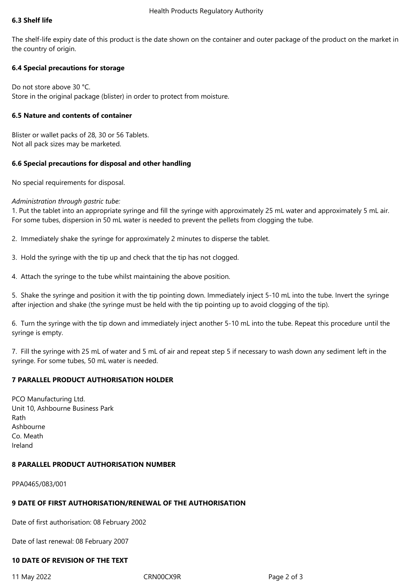#### **6.3 Shelf life**

The shelf-life expiry date of this product is the date shown on the container and outer package of the product on the market in the country of origin.

# **6.4 Special precautions for storage**

Do not store above 30 °C. Store in the original package (blister) in order to protect from moisture.

# **6.5 Nature and contents of container**

Blister or wallet packs of 28, 30 or 56 Tablets. Not all pack sizes may be marketed.

# **6.6 Special precautions for disposal and other handling**

No special requirements for disposal.

# *Administration through gastric tube:*

1. Put the tablet into an appropriate syringe and fill the syringe with approximately 25 mL water and approximately 5 mL air. For some tubes, dispersion in 50 mL water is needed to prevent the pellets from clogging the tube.

2. Immediately shake the syringe for approximately 2 minutes to disperse the tablet.

- 3. Hold the syringe with the tip up and check that the tip has not clogged.
- 4. Attach the syringe to the tube whilst maintaining the above position.

5. Shake the syringe and position it with the tip pointing down. Immediately inject 5-10 mL into the tube. Invert the syringe after injection and shake (the syringe must be held with the tip pointing up to avoid clogging of the tip).

6. Turn the syringe with the tip down and immediately inject another 5-10 mL into the tube. Repeat this procedure until the syringe is empty.

7. Fill the syringe with 25 mL of water and 5 mL of air and repeat step 5 if necessary to wash down any sediment left in the syringe. For some tubes, 50 mL water is needed.

# **7 PARALLEL PRODUCT AUTHORISATION HOLDER**

PCO Manufacturing Ltd. Unit 10, Ashbourne Business Park Rath Ashbourne Co. Meath Ireland

#### **8 PARALLEL PRODUCT AUTHORISATION NUMBER**

PPA0465/083/001

# **9 DATE OF FIRST AUTHORISATION/RENEWAL OF THE AUTHORISATION**

Date of first authorisation: 08 February 2002

Date of last renewal: 08 February 2007

# **10 DATE OF REVISION OF THE TEXT**

11 May 2022 CRN00CX9R Page 2 of 3